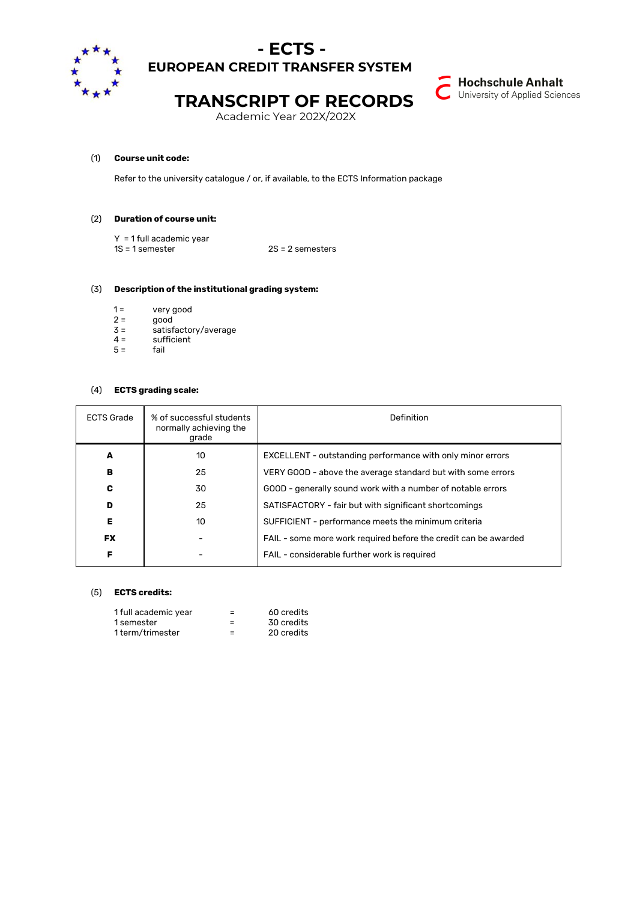

### **- ECTS - EUROPEAN CREDIT TRANSFER SYSTEM**



## **TRANSCRIPT OF RECORDS**

Academic Year 202X/202X

#### (1) **Course unit code:**

Refer to the university catalogue / or, if available, to the ECTS Information package

#### (2) **Duration of course unit:**

Y = 1 full academic year 1S = 1 semester 2S = 2 semesters

#### (3) **Description of the institutional grading system:**

- 1 = very good
- $2 =$  good
- $3 =$  satisfactory/average<br>4 = sufficient
- sufficient<br>fail  $5 =$

# (4) **ECTS grading scale:**

| <b>ECTS Grade</b> | % of successful students<br>normally achieving the<br>grade | Definition                                                      |  |
|-------------------|-------------------------------------------------------------|-----------------------------------------------------------------|--|
| A                 | 10                                                          | EXCELLENT - outstanding performance with only minor errors      |  |
| в                 | 25                                                          | VERY GOOD - above the average standard but with some errors     |  |
| c                 | 30                                                          | GOOD - generally sound work with a number of notable errors     |  |
| D                 | 25                                                          | SATISFACTORY - fair but with significant shortcomings           |  |
| Е                 | 10                                                          | SUFFICIENT - performance meets the minimum criteria             |  |
| <b>FX</b>         |                                                             | FAIL - some more work required before the credit can be awarded |  |
| F                 |                                                             | FAIL - considerable further work is required                    |  |

#### (5) **ECTS credits:**

| 1 full academic year | -                        | 60 credits |
|----------------------|--------------------------|------------|
| 1 semester           | -                        | 30 credits |
| 1 term/trimester     | $\overline{\phantom{a}}$ | 20 credits |